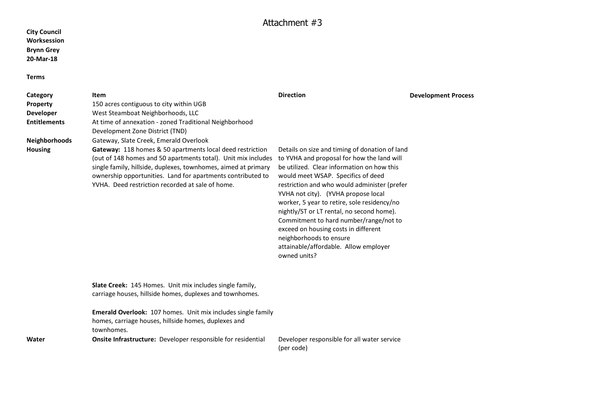## **City Council Worksession Brynn Grey 20-Mar-18**

## **Terms**

| Category             | Item                                                                                                                                                                                                                                                                                                                   | <b>Direction</b>                                                                                                                                                                                                                                                                                                                                                                                                                                                                                                                          | <b>Development Process</b> |
|----------------------|------------------------------------------------------------------------------------------------------------------------------------------------------------------------------------------------------------------------------------------------------------------------------------------------------------------------|-------------------------------------------------------------------------------------------------------------------------------------------------------------------------------------------------------------------------------------------------------------------------------------------------------------------------------------------------------------------------------------------------------------------------------------------------------------------------------------------------------------------------------------------|----------------------------|
| <b>Property</b>      | 150 acres contiguous to city within UGB                                                                                                                                                                                                                                                                                |                                                                                                                                                                                                                                                                                                                                                                                                                                                                                                                                           |                            |
| <b>Developer</b>     | West Steamboat Neighborhoods, LLC                                                                                                                                                                                                                                                                                      |                                                                                                                                                                                                                                                                                                                                                                                                                                                                                                                                           |                            |
| <b>Entitlements</b>  | At time of annexation - zoned Traditional Neighborhood                                                                                                                                                                                                                                                                 |                                                                                                                                                                                                                                                                                                                                                                                                                                                                                                                                           |                            |
|                      | Development Zone District (TND)                                                                                                                                                                                                                                                                                        |                                                                                                                                                                                                                                                                                                                                                                                                                                                                                                                                           |                            |
| <b>Neighborhoods</b> | Gateway, Slate Creek, Emerald Overlook                                                                                                                                                                                                                                                                                 |                                                                                                                                                                                                                                                                                                                                                                                                                                                                                                                                           |                            |
| <b>Housing</b>       | <b>Gateway:</b> 118 homes & 50 apartments local deed restriction<br>(out of 148 homes and 50 apartments total). Unit mix includes<br>single family, hillside, duplexes, townhomes, aimed at primary<br>ownership opportunities. Land for apartments contributed to<br>YVHA. Deed restriction recorded at sale of home. | Details on size and timing of donation of land<br>to YVHA and proposal for how the land will<br>be utilized. Clear information on how this<br>would meet WSAP. Specifics of deed<br>restriction and who would administer (prefer<br>YVHA not city). (YVHA propose local<br>worker, 5 year to retire, sole residency/no<br>nightly/ST or LT rental, no second home).<br>Commitment to hard number/range/not to<br>exceed on housing costs in different<br>neighborhoods to ensure<br>attainable/affordable. Allow employer<br>owned units? |                            |
|                      | Slate Creek: 145 Homes. Unit mix includes single family,<br>carriage houses, hillside homes, duplexes and townhomes.                                                                                                                                                                                                   |                                                                                                                                                                                                                                                                                                                                                                                                                                                                                                                                           |                            |
|                      | <b>Emerald Overlook:</b> 107 homes. Unit mix includes single family<br>homes, carriage houses, hillside homes, duplexes and<br>townhomes.                                                                                                                                                                              |                                                                                                                                                                                                                                                                                                                                                                                                                                                                                                                                           |                            |
| Water                | <b>Onsite Infrastructure:</b> Developer responsible for residential                                                                                                                                                                                                                                                    | Developer responsible for all water service<br>(per code)                                                                                                                                                                                                                                                                                                                                                                                                                                                                                 |                            |
|                      |                                                                                                                                                                                                                                                                                                                        |                                                                                                                                                                                                                                                                                                                                                                                                                                                                                                                                           |                            |

## Attachment #3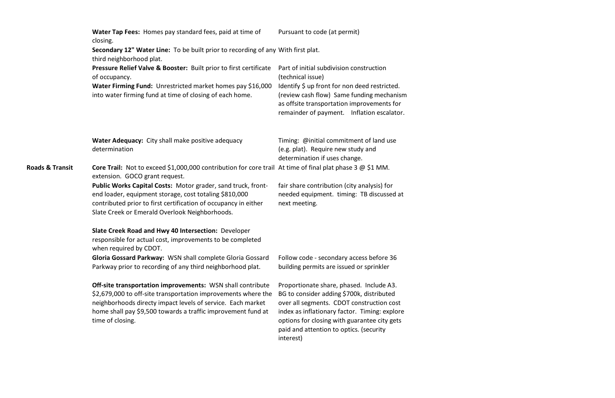|                            | Water Tap Fees: Homes pay standard fees, paid at time of<br>closing.                                                                                                                                                                                                                  | Pursuant to code (at permit)                                                                                                                                                                                                                                                                |  |  |
|----------------------------|---------------------------------------------------------------------------------------------------------------------------------------------------------------------------------------------------------------------------------------------------------------------------------------|---------------------------------------------------------------------------------------------------------------------------------------------------------------------------------------------------------------------------------------------------------------------------------------------|--|--|
|                            | Secondary 12" Water Line: To be built prior to recording of any With first plat.<br>third neighborhood plat.                                                                                                                                                                          |                                                                                                                                                                                                                                                                                             |  |  |
|                            | Pressure Relief Valve & Booster: Built prior to first certificate<br>of occupancy.                                                                                                                                                                                                    | Part of initial subdivision construction<br>(technical issue)                                                                                                                                                                                                                               |  |  |
|                            | Water Firming Fund: Unrestricted market homes pay \$16,000<br>into water firming fund at time of closing of each home.                                                                                                                                                                | Identify \$ up front for non deed restricted.<br>(review cash flow) Same funding mechanism<br>as offsite transportation improvements for<br>remainder of payment. Inflation escalator.                                                                                                      |  |  |
|                            | Water Adequacy: City shall make positive adequacy<br>determination                                                                                                                                                                                                                    | Timing: @initial commitment of land use<br>(e.g. plat). Require new study and<br>determination if uses change.                                                                                                                                                                              |  |  |
| <b>Roads &amp; Transit</b> | <b>Core Trail:</b> Not to exceed \$1,000,000 contribution for core trail At time of final plat phase 3 $\omega$ \$1 MM.<br>extension. GOCO grant request.                                                                                                                             |                                                                                                                                                                                                                                                                                             |  |  |
|                            | Public Works Capital Costs: Motor grader, sand truck, front-<br>end loader, equipment storage, cost totaling \$810,000<br>contributed prior to first certification of occupancy in either<br>Slate Creek or Emerald Overlook Neighborhoods.                                           | fair share contribution (city analysis) for<br>needed equipment. timing: TB discussed at<br>next meeting.                                                                                                                                                                                   |  |  |
|                            | Slate Creek Road and Hwy 40 Intersection: Developer<br>responsible for actual cost, improvements to be completed<br>when required by CDOT.                                                                                                                                            |                                                                                                                                                                                                                                                                                             |  |  |
|                            | Gloria Gossard Parkway: WSN shall complete Gloria Gossard<br>Parkway prior to recording of any third neighborhood plat.                                                                                                                                                               | Follow code - secondary access before 36<br>building permits are issued or sprinkler                                                                                                                                                                                                        |  |  |
|                            | <b>Off-site transportation improvements:</b> WSN shall contribute<br>\$2,679,000 to off-site transportation improvements where the<br>neighborhoods directy impact levels of service. Each market<br>home shall pay \$9,500 towards a traffic improvement fund at<br>time of closing. | Proportionate share, phased. Include A3.<br>BG to consider adding \$700k, distributed<br>over all segments. CDOT construction cost<br>index as inflationary factor. Timing: explore<br>options for closing with guarantee city gets<br>paid and attention to optics. (security<br>interest) |  |  |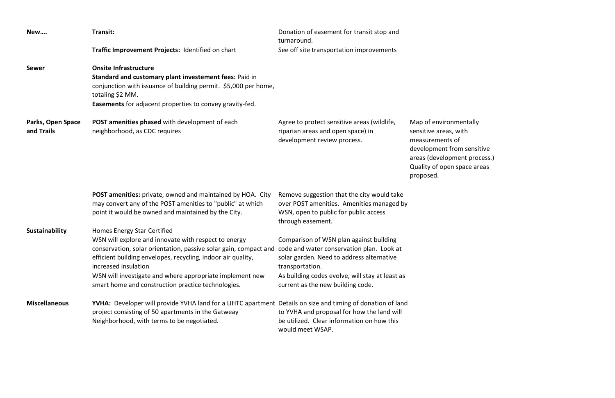| New                             | Transit:                                                                                                                                                                                                                                                                                                                                                                                                    | Donation of easement for transit stop and<br>turnaround.                                                                                                                                        |                                                                                                             |
|---------------------------------|-------------------------------------------------------------------------------------------------------------------------------------------------------------------------------------------------------------------------------------------------------------------------------------------------------------------------------------------------------------------------------------------------------------|-------------------------------------------------------------------------------------------------------------------------------------------------------------------------------------------------|-------------------------------------------------------------------------------------------------------------|
|                                 | Traffic Improvement Projects: Identified on chart                                                                                                                                                                                                                                                                                                                                                           | See off site transportation improvements                                                                                                                                                        |                                                                                                             |
| <b>Sewer</b>                    | <b>Onsite Infrastructure</b><br>Standard and customary plant investement fees: Paid in<br>conjunction with issuance of building permit. \$5,000 per home,<br>totaling \$2 MM.<br><b>Easements</b> for adjacent properties to convey gravity-fed.                                                                                                                                                            |                                                                                                                                                                                                 |                                                                                                             |
| Parks, Open Space<br>and Trails | <b>POST amenities phased</b> with development of each<br>neighborhood, as CDC requires                                                                                                                                                                                                                                                                                                                      | Agree to protect sensitive areas (wildlife,<br>riparian areas and open space) in<br>development review process.                                                                                 | Map of envire<br>sensitive area<br>measuremen<br>development<br>areas (develo<br>Quality of op<br>proposed. |
|                                 | <b>POST amenities:</b> private, owned and maintained by HOA. City<br>may convert any of the POST amenities to "public" at which<br>point it would be owned and maintained by the City.                                                                                                                                                                                                                      | Remove suggestion that the city would take<br>over POST amenities. Amenities managed by<br>WSN, open to public for public access<br>through easement.                                           |                                                                                                             |
| Sustainability                  | Homes Energy Star Certified<br>WSN will explore and innovate with respect to energy<br>conservation, solar orientation, passive solar gain, compact and code and water conservation plan. Look at<br>efficient building envelopes, recycling, indoor air quality,<br>increased insulation<br>WSN will investigate and where appropriate implement new<br>smart home and construction practice technologies. | Comparison of WSN plan against building<br>solar garden. Need to address alternative<br>transportation.<br>As building codes evolve, will stay at least as<br>current as the new building code. |                                                                                                             |
| <b>Miscellaneous</b>            | <b>YVHA:</b> Developer will provide YVHA land for a LIHTC apartment Details on size and timing of donation of land<br>project consisting of 50 apartments in the Gatweay<br>Neighborhood, with terms to be negotiated.                                                                                                                                                                                      | to YVHA and proposal for how the land will<br>be utilized. Clear information on how this<br>would meet WSAP.                                                                                    |                                                                                                             |

ronmentally as, with  $n$ ts of t from sensitive opment process.) pen space areas